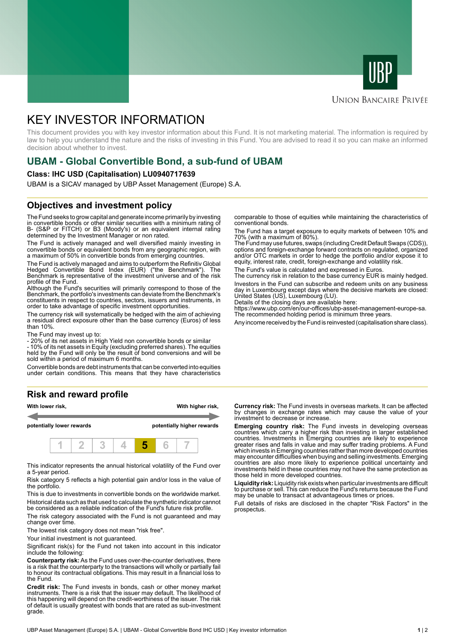



### **UNION BANCAIRE PRIVÉE**

# KEY INVESTOR INFORMATION

This document provides you with key investor information about this Fund. It is not marketing material. The information is required by law to help you understand the nature and the risks of investing in this Fund. You are advised to read it so you can make an informed decision about whether to invest.

# **UBAM - Global Convertible Bond, a sub-fund of UBAM**

#### **Class: IHC USD (Capitalisation) LU0940717639**

UBAM is a SICAV managed by UBP Asset Management (Europe) S.A.

## **Objectives and investment policy**

The Fund seeks to grow capital and generate income primarily by investing in convertible bonds or other similar securities with a minimum rating of B- (S&P or FITCH) or B3 (Moody's) or an equivalent internal rating determined by the Investment Manager or non rated.

The Fund is actively managed and well diversified mainly investing in convertible bonds or equivalent bonds from any geographic region, with a maximum of 50% in convertible bonds from emerging countries.

The Fund is actively managed and aims to outperform the Refinitiv Global Hedged Convertible Bond Index (EUR) ("the Benchmark"). The Benchmark is representative of the investment universe and of the risk profile of the Fund.

Although the Fund's securities will primarily correspond to those of the Benchmark, the portfolio's investments can deviate from the Benchmark's constituents in respect to countries, sectors, issuers and instruments, in order to take advantage of specific investment opportunities.

The currency risk will systematically be hedged with the aim of achieving a residual direct exposure other than the base currency (Euros) of less than 10%.

The Fund may invest up to:

- 20% of its net assets in High Yield non convertible bonds or similar

- 10% of its net assets in Equity (excluding preferred shares). The equities held by the Fund will only be the result of bond conversions and will be sold within a period of maximum 6 months.

Convertible bonds are debt instruments that can be converted into equities under certain conditions. This means that they have characteristics

# **Risk and reward profile**



This indicator represents the annual historical volatility of the Fund over a 5-year period.

Risk category 5 reflects a high potential gain and/or loss in the value of the portfolio.

This is due to investments in convertible bonds on the worldwide market. Historical data such as that used to calculate the synthetic indicator cannot be considered as a reliable indication of the Fund's future risk profile.

The risk category associated with the Fund is not guaranteed and may change over time.

The lowest risk category does not mean "risk free".

Your initial investment is not quaranteed.

Significant risk(s) for the Fund not taken into account in this indicator include the following:

**Counterparty risk:** As the Fund uses over-the-counter derivatives, there is a risk that the counterparty to the transactions will wholly or partially fail to honour its contractual obligations. This may result in a financial loss to the Fund.

**Credit risk:** The Fund invests in bonds, cash or other money market instruments. There is a risk that the issuer may default. The likelihood of this happening will depend on the credit-worthiness of the issuer. The risk of default is usually greatest with bonds that are rated as sub-investment grade.

comparable to those of equities while maintaining the characteristics of conventional bonds.

The Fund has a target exposure to equity markets of between 10% and 70% (with a maximum of 80%).

The Fund may use futures, swaps (including Credit Default Swaps (CDS)), options and foreign-exchange forward contracts on regulated, organized and/or OTC markets in order to hedge the portfolio and/or expose it to equity, interest rate, credit, foreign-exchange and volatility risk.

The Fund's value is calculated and expressed in Euros.

The currency risk in relation to the base currency EUR is mainly hedged. Investors in the Fund can subscribe and redeem units on any business day in Luxembourg except days where the decisive markets are closed: United States (US), Luxembourg (LU).

Details of the closing days are available here:

https://www.ubp.com/en/our-offices/ubp-asset-management-europe-sa. The recommended holding period is minimum three years.

Any income received by the Fund is reinvested (capitalisation share class).

**Currency risk:** The Fund invests in overseas markets. It can be affected by changes in exchange rates which may cause the value of your investment to decrease or increase.

**Emerging country risk:** The Fund invests in developing overseas countries which carry a higher risk than investing in larger established countries. Investments in Emerging countries are likely to experience greater rises and falls in value and may suffer trading problems. A Fund which invests in Emerging countries rather than more developed countries may encounter difficulties when buying and selling investments. Emerging countries are also more likely to experience political uncertainty and investments held in these countries may not have the same protection as those held in more developed countries.

**Liquidity risk:** Liquidity risk exists when particular investments are difficult to purchase or sell. This can reduce the Fund's returns because the Fund may be unable to transact at advantageous times or prices.

Full details of risks are disclosed in the chapter "Risk Factors" in the prospectus.